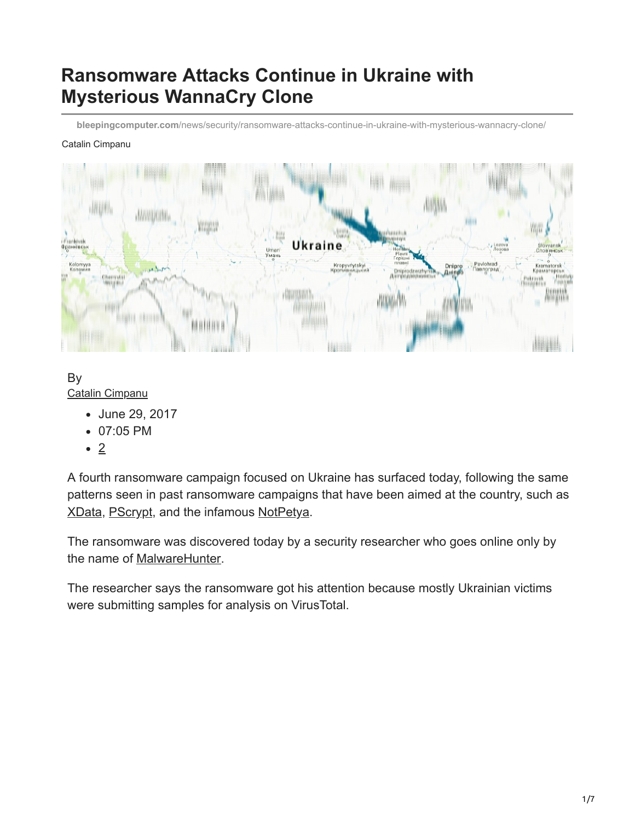# **Ransomware Attacks Continue in Ukraine with Mysterious WannaCry Clone**

**bleepingcomputer.com**[/news/security/ransomware-attacks-continue-in-ukraine-with-mysterious-wannacry-clone/](https://www.bleepingcomputer.com/news/security/ransomware-attacks-continue-in-ukraine-with-mysterious-wannacry-clone/)

#### Catalin Cimpanu



By [Catalin Cimpanu](https://www.bleepingcomputer.com/author/catalin-cimpanu/)

- June 29, 2017
- 07:05 PM
- 2

A fourth ransomware campaign focused on Ukraine has surfaced today, following the same patterns seen in past ransomware campaigns that have been aimed at the country, such as [XData](https://www.bleepingcomputer.com/news/security/xdata-ransomware-on-a-rampage-in-ukraine/), [PScrypt](https://www.bleepingcomputer.com/news/security/before-notpetya-there-was-another-ransomware-that-targeted-ukraine-last-week/), and the infamous [NotPetya](https://www.bleepingcomputer.com/news/security/wannacry-d-j-vu-petya-ransomware-outbreak-wreaking-havoc-across-the-globe/).

The ransomware was discovered today by a security researcher who goes online only by the name of [MalwareHunter](https://twitter.com/malwrhunterteam/).

The researcher says the ransomware got his attention because mostly Ukrainian victims were submitting samples for analysis on VirusTotal.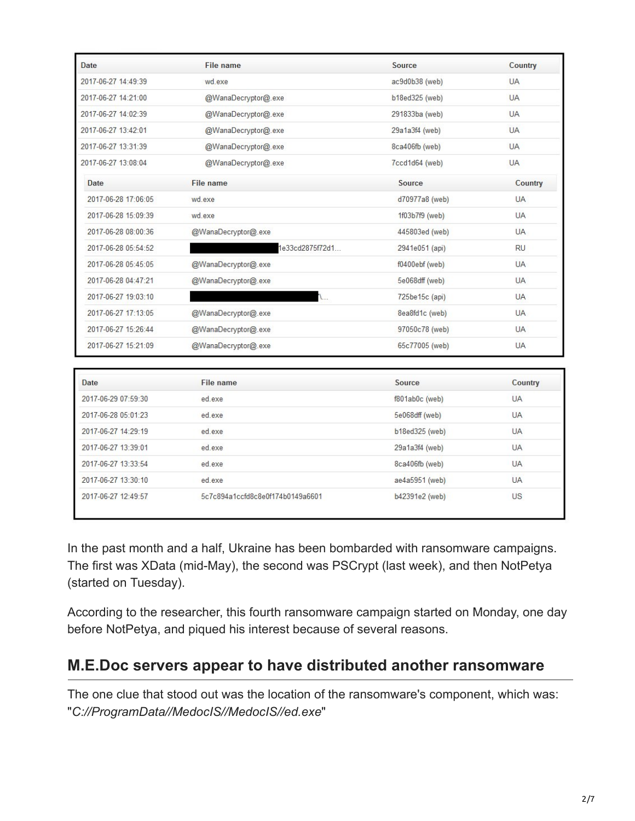| Date                | <b>File name</b>                 | Source         | Country   |
|---------------------|----------------------------------|----------------|-----------|
| 2017-06-27 14:49:39 | wd.exe                           | ac9d0b38 (web) | <b>UA</b> |
| 2017-06-27 14:21:00 | @WanaDecryptor@.exe              | b18ed325 (web) | <b>UA</b> |
| 2017-06-27 14:02:39 | @WanaDecryptor@.exe              | 291833ba (web) | <b>UA</b> |
| 2017-06-27 13:42:01 | @WanaDecryptor@.exe              | 29a1a3f4 (web) | <b>UA</b> |
| 2017-06-27 13:31:39 | @WanaDecryptor@.exe              | 8ca406fb (web) | <b>UA</b> |
| 2017-06-27 13:08:04 | @WanaDecryptor@.exe              | 7ccd1d64 (web) | <b>UA</b> |
| Date                | <b>File name</b>                 | Source         | Country   |
| 2017-06-28 17:06:05 | wd.exe                           | d70977a8 (web) | <b>UA</b> |
| 2017-06-28 15:09:39 | wd.exe                           | 1f03b7f9 (web) | <b>UA</b> |
| 2017-06-28 08:00:36 | @WanaDecryptor@.exe              | 445803ed (web) | <b>UA</b> |
| 2017-06-28 05:54:52 | 1e33cd2875f72d1                  | 2941e051 (api) | <b>RU</b> |
| 2017-06-28 05:45:05 | @WanaDecryptor@.exe              | f0400ebf (web) | <b>UA</b> |
| 2017-06-28 04:47:21 | @WanaDecryptor@.exe              | 5e068dff (web) | <b>UA</b> |
| 2017-06-27 19:03:10 | <b>A.L.</b>                      | 725be15c (api) | <b>UA</b> |
| 2017-06-27 17:13:05 | @WanaDecryptor@.exe              | 8ea8fd1c (web) | <b>UA</b> |
| 2017-06-27 15:26:44 | @WanaDecryptor@.exe              | 97050c78 (web) | <b>UA</b> |
| 2017-06-27 15:21:09 | @WanaDecryptor@.exe              | 65c77005 (web) | <b>UA</b> |
|                     |                                  |                |           |
| <b>Date</b>         | <b>File name</b>                 | Source         | Country   |
| 2017-06-29 07:59:30 | ed.exe                           | f801ab0c (web) | <b>UA</b> |
| 2017-06-28 05:01:23 | ed exe                           | 5e068dff (web) | <b>UA</b> |
| 2017-06-27 14:29:19 | ed exe                           | b18ed325 (web) | <b>UA</b> |
| 2017-06-27 13:39:01 | ed.exe                           | 29a1a3f4 (web) | <b>UA</b> |
| 2017-06-27 13:33:54 | ed exe                           | 8ca406fb (web) | <b>UA</b> |
| 2017-06-27 13:30:10 | ed.exe                           | ae4a5951 (web) | <b>UA</b> |
| 2017-06-27 12:49:57 | 5c7c894a1ccfd8c8e0f174b0149a6601 | b42391e2 (web) | US        |

In the past month and a half, Ukraine has been bombarded with ransomware campaigns. The first was XData (mid-May), the second was PSCrypt (last week), and then NotPetya (started on Tuesday).

According to the researcher, this fourth ransomware campaign started on Monday, one day before NotPetya, and piqued his interest because of several reasons.

# **M.E.Doc servers appear to have distributed another ransomware**

The one clue that stood out was the location of the ransomware's component, which was: "*C://ProgramData//MedocIS//MedocIS//ed.exe*"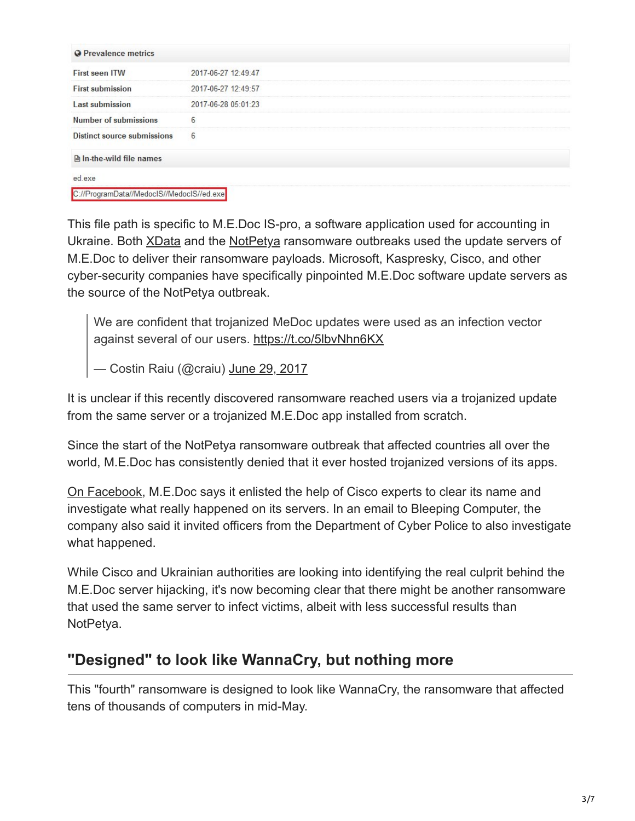| <b>Q</b> Prevalence metrics               |                     |
|-------------------------------------------|---------------------|
| <b>First seen ITW</b>                     | 2017-06-27 12:49:47 |
| <b>First submission</b>                   | 2017-06-27 12:49:57 |
| <b>Last submission</b>                    | 2017-06-28 05:01:23 |
| <b>Number of submissions</b>              | 6                   |
| Distinct source submissions               | 6                   |
| $\Box$ In-the-wild file names             |                     |
| ed.exe                                    |                     |
| C://ProgramData//MedoclS//MedoclS//ed.exe |                     |

This file path is specific to M.E.Doc IS-pro, a software application used for accounting in Ukraine. Both [XData](https://ain.ua/2017/05/24/vse-pro-xdata-poka) and the [NotPetya](https://www.bleepingcomputer.com/news/security/petya-ransomware-outbreak-originated-in-ukraine-via-tainted-accounting-software/) ransomware outbreaks used the update servers of M.E.Doc to deliver their ransomware payloads. Microsoft, Kaspresky, Cisco, and other cyber-security companies have specifically pinpointed M.E.Doc software update servers as the source of the NotPetya outbreak.

We are confident that trojanized MeDoc updates were used as an infection vector against several of our users.<https://t.co/5lbvNhn6KX>

— Costin Raiu (@craiu) [June 29, 2017](https://twitter.com/craiu/status/880343543373586432)

It is unclear if this recently discovered ransomware reached users via a trojanized update from the same server or a trojanized M.E.Doc app installed from scratch.

Since the start of the NotPetya ransomware outbreak that affected countries all over the world, M.E.Doc has consistently denied that it ever hosted trojanized versions of its apps.

[On Facebook](https://www.facebook.com/medoc.ua/posts/1905198096434435), M.E.Doc says it enlisted the help of Cisco experts to clear its name and investigate what really happened on its servers. In an email to Bleeping Computer, the company also said it invited officers from the Department of Cyber Police to also investigate what happened.

While Cisco and Ukrainian authorities are looking into identifying the real culprit behind the M.E.Doc server hijacking, it's now becoming clear that there might be another ransomware that used the same server to infect victims, albeit with less successful results than NotPetya.

# **"Designed" to look like WannaCry, but nothing more**

This "fourth" ransomware is designed to look like WannaCry, the ransomware that affected tens of thousands of computers in mid-May.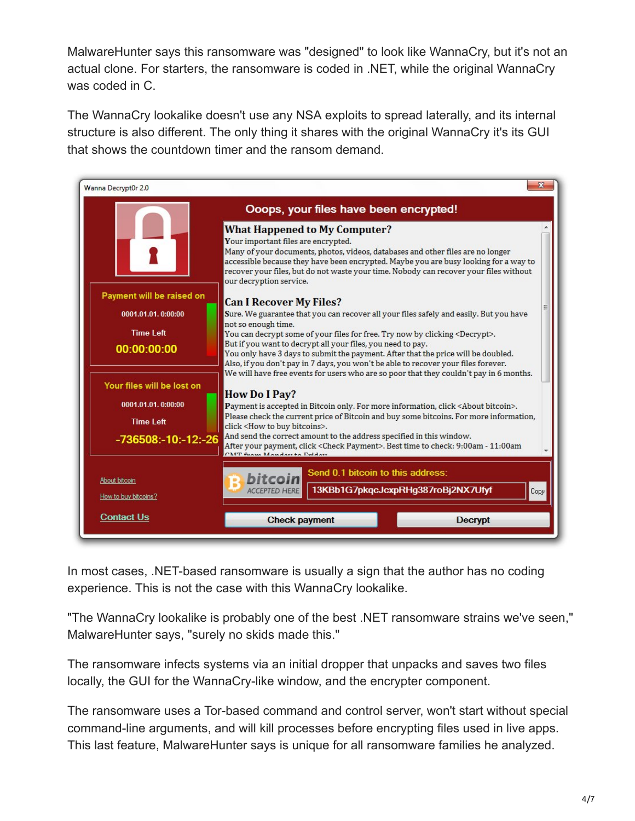MalwareHunter says this ransomware was "designed" to look like WannaCry, but it's not an actual clone. For starters, the ransomware is coded in .NET, while the original WannaCry was coded in C.

The WannaCry lookalike doesn't use any NSA exploits to spread laterally, and its internal structure is also different. The only thing it shares with the original WannaCry it's its GUI that shows the countdown timer and the ransom demand.



In most cases, .NET-based ransomware is usually a sign that the author has no coding experience. This is not the case with this WannaCry lookalike.

"The WannaCry lookalike is probably one of the best .NET ransomware strains we've seen," MalwareHunter says, "surely no skids made this."

The ransomware infects systems via an initial dropper that unpacks and saves two files locally, the GUI for the WannaCry-like window, and the encrypter component.

The ransomware uses a Tor-based command and control server, won't start without special command-line arguments, and will kill processes before encrypting files used in live apps. This last feature, MalwareHunter says is unique for all ransomware families he analyzed.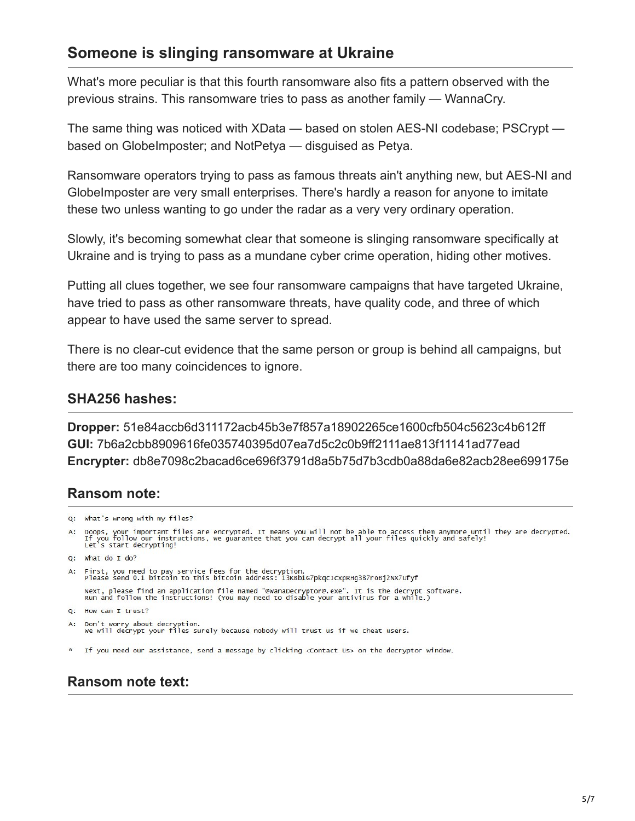### **Someone is slinging ransomware at Ukraine**

What's more peculiar is that this fourth ransomware also fits a pattern observed with the previous strains. This ransomware tries to pass as another family — WannaCry.

The same thing was noticed with XData — based on stolen AES-NI codebase; PSCrypt based on GlobeImposter; and NotPetya — disguised as Petya.

Ransomware operators trying to pass as famous threats ain't anything new, but AES-NI and GlobeImposter are very small enterprises. There's hardly a reason for anyone to imitate these two unless wanting to go under the radar as a very very ordinary operation.

Slowly, it's becoming somewhat clear that someone is slinging ransomware specifically at Ukraine and is trying to pass as a mundane cyber crime operation, hiding other motives.

Putting all clues together, we see four ransomware campaigns that have targeted Ukraine, have tried to pass as other ransomware threats, have quality code, and three of which appear to have used the same server to spread.

There is no clear-cut evidence that the same person or group is behind all campaigns, but there are too many coincidences to ignore.

#### **SHA256 hashes:**

**Dropper:** 51e84accb6d311172acb45b3e7f857a18902265ce1600cfb504c5623c4b612ff **GUI:** 7b6a2cbb8909616fe035740395d07ea7d5c2c0b9ff2111ae813f11141ad77ead **Encrypter:** db8e7098c2bacad6ce696f3791d8a5b75d7b3cdb0a88da6e82acb28ee699175e

#### **Ransom note:**

```
Q: What's wrong with my files?
A: Ooops, your important files are encrypted. It means you will not be able to access them anymore until they are decrypted.<br>If you follow our instructions, we guarantee that you can decrypt all your files quickly and safe
Q: What do I do?
A: First, you need to pay service fees for the decryption.<br>Please send 0.1 bitcoin to this bitcoin address: 13KBb1G7pkqcJcxpRHg387roBj2NX7Ufyf
      Next, please find an application file named "@WanaDecryptor@.exe". It is the decrypt software.<br>Run and follow the instructions! (You may need to disable your antivirus for a while.)
0: How can I trust?
A: Don't worry about decryption.<br>We will decrypt your files surely because nobody will trust us if we cheat users.
```
\* If you need our assistance, send a message by clicking <Contact Us> on the decryptor window.

### **Ransom note text:**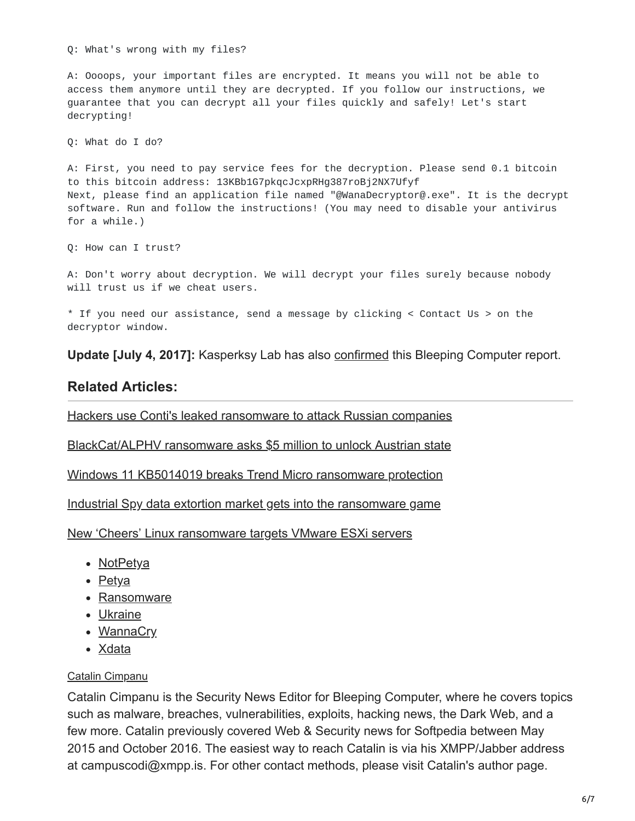Q: What's wrong with my files?

A: Oooops, your important files are encrypted. It means you will not be able to access them anymore until they are decrypted. If you follow our instructions, we guarantee that you can decrypt all your files quickly and safely! Let's start decrypting!

Q: What do I do?

A: First, you need to pay service fees for the decryption. Please send 0.1 bitcoin to this bitcoin address: 13KBb1G7pkqcJcxpRHg387roBj2NX7Ufyf Next, please find an application file named "@WanaDecryptor@.exe". It is the decrypt software. Run and follow the instructions! (You may need to disable your antivirus for a while.)

Q: How can I trust?

A: Don't worry about decryption. We will decrypt your files surely because nobody will trust us if we cheat users.

\* If you need our assistance, send a message by clicking < Contact Us > on the decryptor window.

**Update [July 4, 2017]:** Kasperksy Lab has also [confirmed](https://securelist.com/in-expetrpetyas-shadow-fakecry-ransomware-wave-hits-ukraine/78973/) this Bleeping Computer report.

#### **Related Articles:**

[Hackers use Conti's leaked ransomware to attack Russian companies](https://www.bleepingcomputer.com/news/security/hackers-use-contis-leaked-ransomware-to-attack-russian-companies/)

[BlackCat/ALPHV ransomware asks \\$5 million to unlock Austrian state](https://www.bleepingcomputer.com/news/security/blackcat-alphv-ransomware-asks-5-million-to-unlock-austrian-state/)

[Windows 11 KB5014019 breaks Trend Micro ransomware protection](https://www.bleepingcomputer.com/news/security/windows-11-kb5014019-breaks-trend-micro-ransomware-protection/)

[Industrial Spy data extortion market gets into the ransomware game](https://www.bleepingcomputer.com/news/security/industrial-spy-data-extortion-market-gets-into-the-ransomware-game/)

[New 'Cheers' Linux ransomware targets VMware ESXi servers](https://www.bleepingcomputer.com/news/security/new-cheers-linux-ransomware-targets-vmware-esxi-servers/)

- [NotPetya](https://www.bleepingcomputer.com/tag/notpetya/)
- $\bullet$  [Petya](https://www.bleepingcomputer.com/tag/petya/)
- [Ransomware](https://www.bleepingcomputer.com/tag/ransomware/)
- [Ukraine](https://www.bleepingcomputer.com/tag/ukraine/)
- [WannaCry](https://www.bleepingcomputer.com/tag/wannacry/)
- [Xdata](https://www.bleepingcomputer.com/tag/xdata/)

#### [Catalin Cimpanu](https://www.bleepingcomputer.com/author/catalin-cimpanu/)

Catalin Cimpanu is the Security News Editor for Bleeping Computer, where he covers topics such as malware, breaches, vulnerabilities, exploits, hacking news, the Dark Web, and a few more. Catalin previously covered Web & Security news for Softpedia between May 2015 and October 2016. The easiest way to reach Catalin is via his XMPP/Jabber address at campuscodi@xmpp.is. For other contact methods, please visit Catalin's author page.